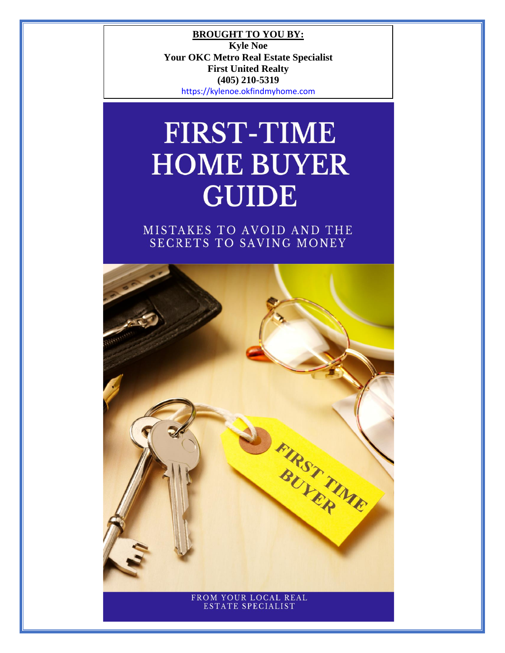**BROUGHT TO YOU BY: Kyle Noe Your OKC Metro Real Estate Specialist First United Realty (405) 210-5319** [https://kylenoe.okfindmyhome.com](https://kylenoe.okfindmyhome.com/)

# **FIRST-TIME HOME BUYER GUIDE**

MISTAKES TO AVOID AND THE SECRETS TO SAVING MONEY

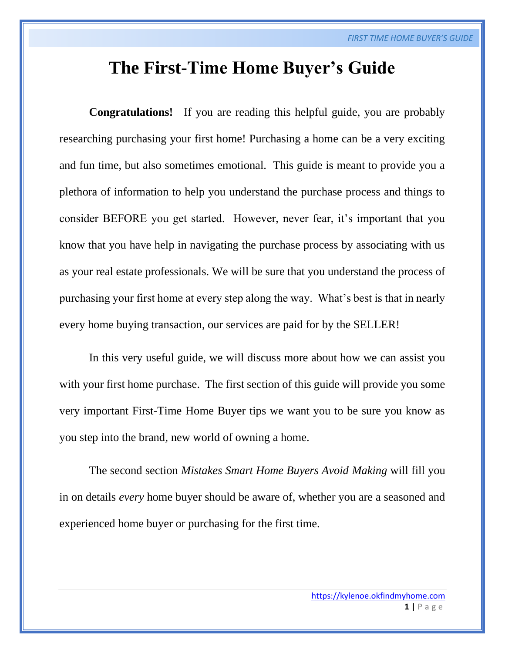# **The First-Time Home Buyer's Guide**

**Congratulations!** If you are reading this helpful guide, you are probably researching purchasing your first home! Purchasing a home can be a very exciting and fun time, but also sometimes emotional. This guide is meant to provide you a plethora of information to help you understand the purchase process and things to consider BEFORE you get started. However, never fear, it's important that you know that you have help in navigating the purchase process by associating with us as your real estate professionals. We will be sure that you understand the process of purchasing your first home at every step along the way. What's best is that in nearly every home buying transaction, our services are paid for by the SELLER!

In this very useful guide, we will discuss more about how we can assist you with your first home purchase. The first section of this guide will provide you some very important First-Time Home Buyer tips we want you to be sure you know as you step into the brand, new world of owning a home.

The second section *Mistakes Smart Home Buyers Avoid Making* will fill you in on details *every* home buyer should be aware of, whether you are a seasoned and experienced home buyer or purchasing for the first time.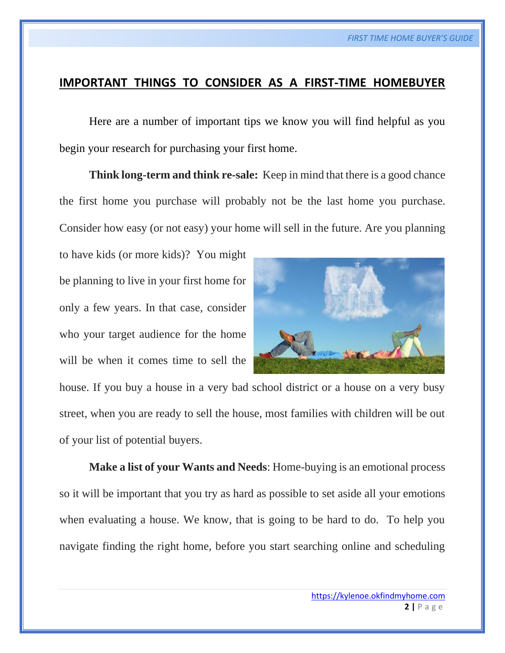# **IMPORTANT THINGS TO CONSIDER AS A FIRST-TIME HOMEBUYER**

Here are a number of important tips we know you will find helpful as you begin your research for purchasing your first home.

**Think long-term and think re-sale:** Keep in mind that there is a good chance the first home you purchase will probably not be the last home you purchase. Consider how easy (or not easy) your home will sell in the future. Are you planning

to have kids (or more kids)? You might be planning to live in your first home for only a few years. In that case, consider who your target audience for the home will be when it comes time to sell the



house. If you buy a house in a very bad school district or a house on a very busy street, when you are ready to sell the house, most families with children will be out of your list of potential buyers.

**Make a list of your Wants and Needs**: Home-buying is an emotional process so it will be important that you try as hard as possible to set aside all your emotions when evaluating a house. We know, that is going to be hard to do. To help you navigate finding the right home, before you start searching online and scheduling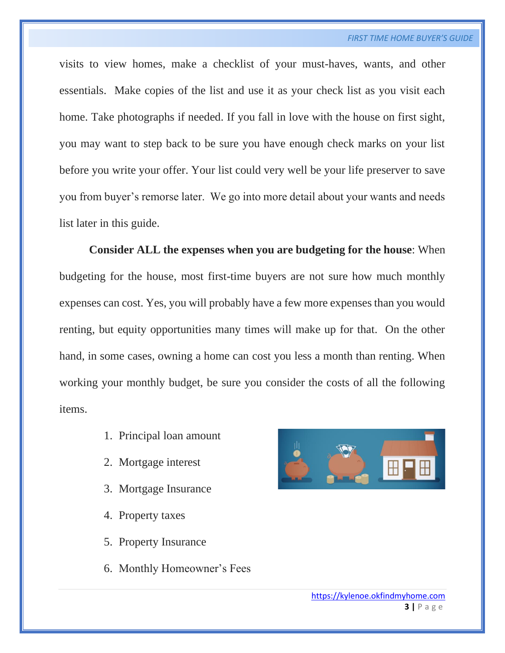visits to view homes, make a checklist of your must-haves, wants, and other essentials. Make copies of the list and use it as your check list as you visit each home. Take photographs if needed. If you fall in love with the house on first sight, you may want to step back to be sure you have enough check marks on your list before you write your offer. Your list could very well be your life preserver to save you from buyer's remorse later. We go into more detail about your wants and needs list later in this guide.

**Consider ALL the expenses when you are budgeting for the house**: When budgeting for the house, most first-time buyers are not sure how much monthly expenses can cost. Yes, you will probably have a few more expenses than you would renting, but equity opportunities many times will make up for that. On the other hand, in some cases, owning a home can cost you less a month than renting. When working your monthly budget, be sure you consider the costs of all the following items.

- 1. Principal loan amount
- 2. Mortgage interest
- 3. Mortgage Insurance
- 4. Property taxes
- 5. Property Insurance
- 6. Monthly Homeowner's Fees

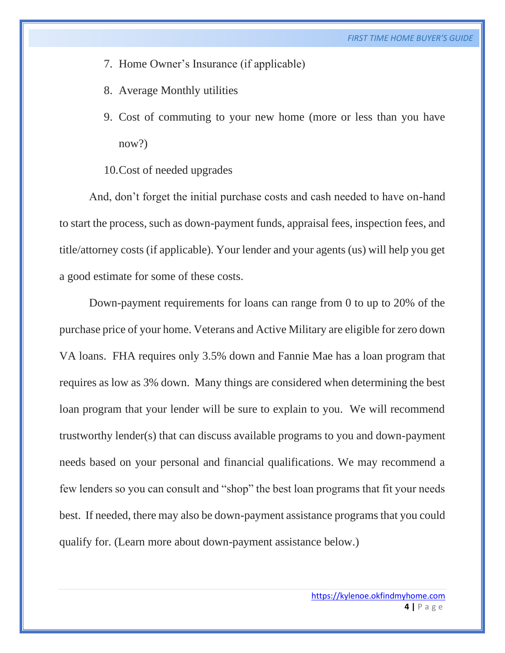- 7. Home Owner's Insurance (if applicable)
- 8. Average Monthly utilities
- 9. Cost of commuting to your new home (more or less than you have now?)
- 10.Cost of needed upgrades

And, don't forget the initial purchase costs and cash needed to have on-hand to start the process, such as down-payment funds, appraisal fees, inspection fees, and title/attorney costs (if applicable). Your lender and your agents (us) will help you get a good estimate for some of these costs.

Down-payment requirements for loans can range from 0 to up to 20% of the purchase price of your home. Veterans and Active Military are eligible for zero down VA loans. FHA requires only 3.5% down and Fannie Mae has a loan program that requires as low as 3% down. Many things are considered when determining the best loan program that your lender will be sure to explain to you. We will recommend trustworthy lender(s) that can discuss available programs to you and down-payment needs based on your personal and financial qualifications. We may recommend a few lenders so you can consult and "shop" the best loan programs that fit your needs best. If needed, there may also be down-payment assistance programs that you could qualify for. (Learn more about down-payment assistance below.)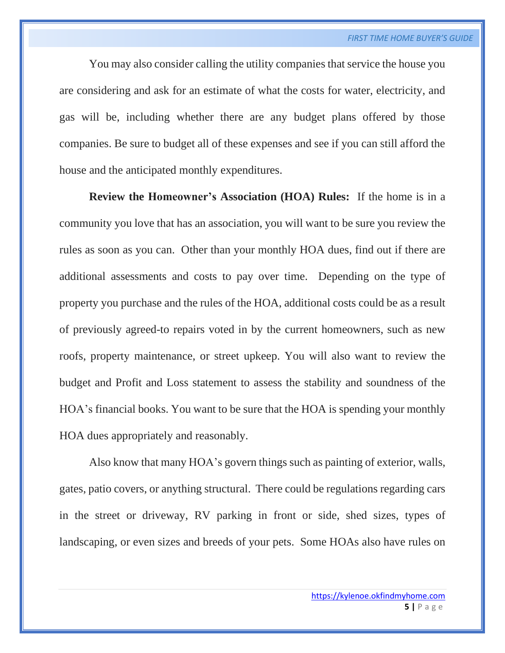You may also consider calling the utility companies that service the house you are considering and ask for an estimate of what the costs for water, electricity, and gas will be, including whether there are any budget plans offered by those companies. Be sure to budget all of these expenses and see if you can still afford the house and the anticipated monthly expenditures.

**Review the Homeowner's Association (HOA) Rules:** If the home is in a community you love that has an association, you will want to be sure you review the rules as soon as you can. Other than your monthly HOA dues, find out if there are additional assessments and costs to pay over time. Depending on the type of property you purchase and the rules of the HOA, additional costs could be as a result of previously agreed-to repairs voted in by the current homeowners, such as new roofs, property maintenance, or street upkeep. You will also want to review the budget and Profit and Loss statement to assess the stability and soundness of the HOA's financial books. You want to be sure that the HOA is spending your monthly HOA dues appropriately and reasonably.

Also know that many HOA's govern things such as painting of exterior, walls, gates, patio covers, or anything structural. There could be regulations regarding cars in the street or driveway, RV parking in front or side, shed sizes, types of landscaping, or even sizes and breeds of your pets. Some HOAs also have rules on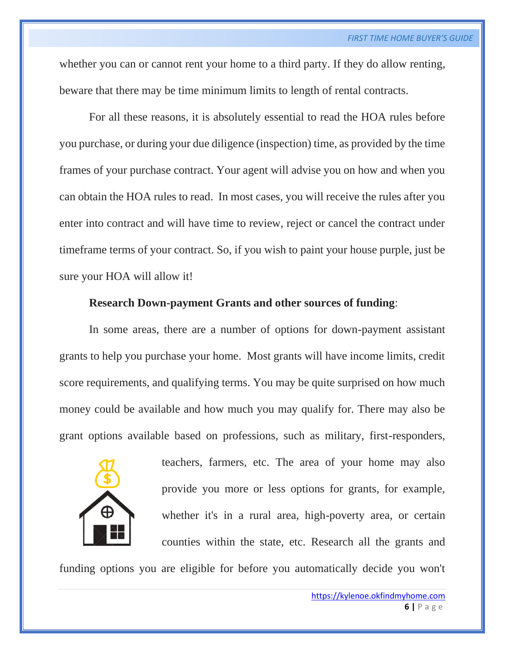whether you can or cannot rent your home to a third party. If they do allow renting, beware that there may be time minimum limits to length of rental contracts.

For all these reasons, it is absolutely essential to read the HOA rules before you purchase, or during your due diligence (inspection) time, as provided by the time frames of your purchase contract. Your agent will advise you on how and when you can obtain the HOA rules to read. In most cases, you will receive the rules after you enter into contract and will have time to review, reject or cancel the contract under timeframe terms of your contract. So, if you wish to paint your house purple, just be sure your HOA will allow it!

### **Research Down-payment Grants and other sources of funding**:

In some areas, there are a number of options for down-payment assistant grants to help you purchase your home. Most grants will have income limits, credit score requirements, and qualifying terms. You may be quite surprised on how much money could be available and how much you may qualify for. There may also be grant options available based on professions, such as military, first-responders,



teachers, farmers, etc. The area of your home may also provide you more or less options for grants, for example, whether it's in a rural area, high-poverty area, or certain counties within the state, etc. Research all the grants and

funding options you are eligible for before you automatically decide you won't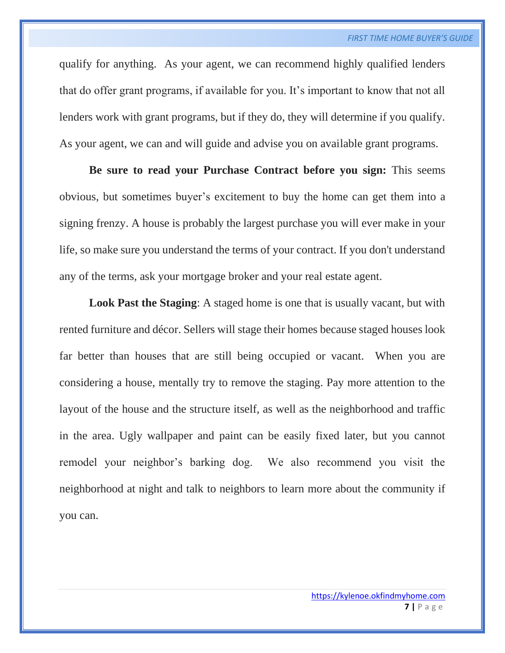qualify for anything. As your agent, we can recommend highly qualified lenders that do offer grant programs, if available for you. It's important to know that not all lenders work with grant programs, but if they do, they will determine if you qualify. As your agent, we can and will guide and advise you on available grant programs.

**Be sure to read your Purchase Contract before you sign:** This seems obvious, but sometimes buyer's excitement to buy the home can get them into a signing frenzy. A house is probably the largest purchase you will ever make in your life, so make sure you understand the terms of your contract. If you don't understand any of the terms, ask your mortgage broker and your real estate agent.

**Look Past the Staging**: A staged home is one that is usually vacant, but with rented furniture and décor. Sellers will stage their homes because staged houses look far better than houses that are still being occupied or vacant. When you are considering a house, mentally try to remove the staging. Pay more attention to the layout of the house and the structure itself, as well as the neighborhood and traffic in the area. Ugly wallpaper and paint can be easily fixed later, but you cannot remodel your neighbor's barking dog. We also recommend you visit the neighborhood at night and talk to neighbors to learn more about the community if you can.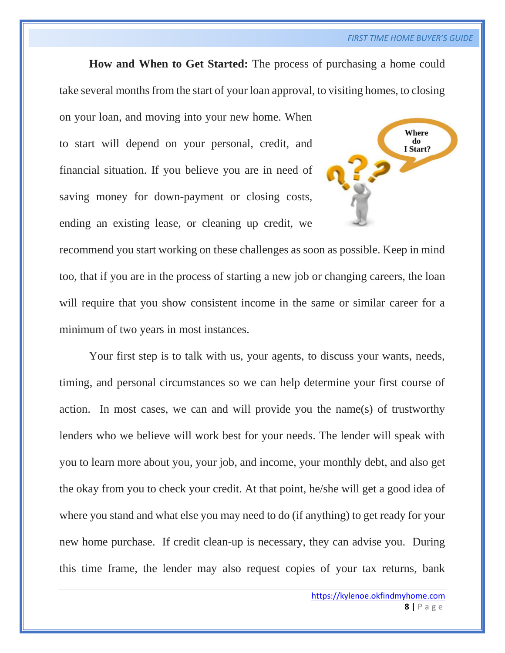# **How and When to Get Started:** The process of purchasing a home could

take several months from the start of your loan approval, to visiting homes, to closing

on your loan, and moving into your new home. When to start will depend on your personal, credit, and financial situation. If you believe you are in need of saving money for down-payment or closing costs, ending an existing lease, or cleaning up credit, we



recommend you start working on these challenges as soon as possible. Keep in mind too, that if you are in the process of starting a new job or changing careers, the loan will require that you show consistent income in the same or similar career for a minimum of two years in most instances.

Your first step is to talk with us, your agents, to discuss your wants, needs, timing, and personal circumstances so we can help determine your first course of action. In most cases, we can and will provide you the name(s) of trustworthy lenders who we believe will work best for your needs. The lender will speak with you to learn more about you, your job, and income, your monthly debt, and also get the okay from you to check your credit. At that point, he/she will get a good idea of where you stand and what else you may need to do (if anything) to get ready for your new home purchase. If credit clean-up is necessary, they can advise you. During this time frame, the lender may also request copies of your tax returns, bank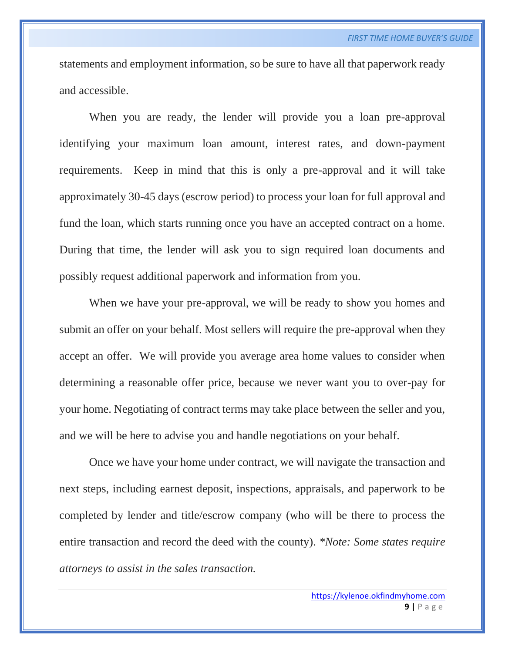statements and employment information, so be sure to have all that paperwork ready and accessible.

When you are ready, the lender will provide you a loan pre-approval identifying your maximum loan amount, interest rates, and down-payment requirements. Keep in mind that this is only a pre-approval and it will take approximately 30-45 days (escrow period) to process your loan for full approval and fund the loan, which starts running once you have an accepted contract on a home. During that time, the lender will ask you to sign required loan documents and possibly request additional paperwork and information from you.

When we have your pre-approval, we will be ready to show you homes and submit an offer on your behalf. Most sellers will require the pre-approval when they accept an offer. We will provide you average area home values to consider when determining a reasonable offer price, because we never want you to over-pay for your home. Negotiating of contract terms may take place between the seller and you, and we will be here to advise you and handle negotiations on your behalf.

Once we have your home under contract, we will navigate the transaction and next steps, including earnest deposit, inspections, appraisals, and paperwork to be completed by lender and title/escrow company (who will be there to process the entire transaction and record the deed with the county). *\*Note: Some states require attorneys to assist in the sales transaction.*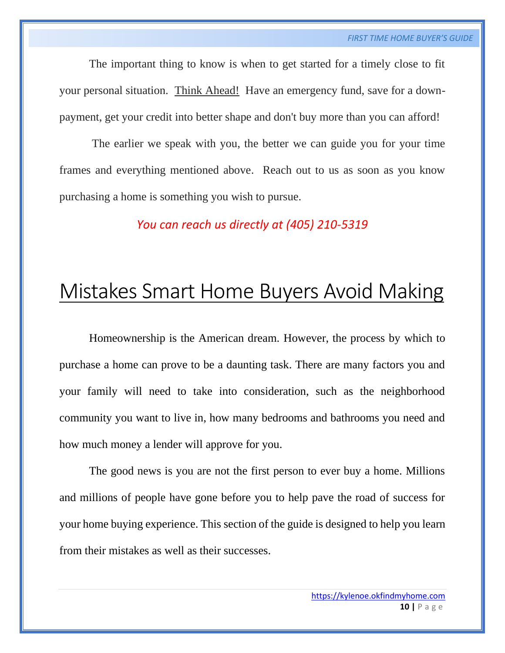The important thing to know is when to get started for a timely close to fit your personal situation. Think Ahead! Have an emergency fund, save for a downpayment, get your credit into better shape and don't buy more than you can afford!

The earlier we speak with you, the better we can guide you for your time frames and everything mentioned above. Reach out to us as soon as you know purchasing a home is something you wish to pursue.

*You can reach us directly at (405) 210-5319*

# Mistakes Smart Home Buyers Avoid Making

Homeownership is the American dream. However, the process by which to purchase a home can prove to be a daunting task. There are many factors you and your family will need to take into consideration, such as the neighborhood community you want to live in, how many bedrooms and bathrooms you need and how much money a lender will approve for you.

The good news is you are not the first person to ever buy a home. Millions and millions of people have gone before you to help pave the road of success for your home buying experience. This section of the guide is designed to help you learn from their mistakes as well as their successes.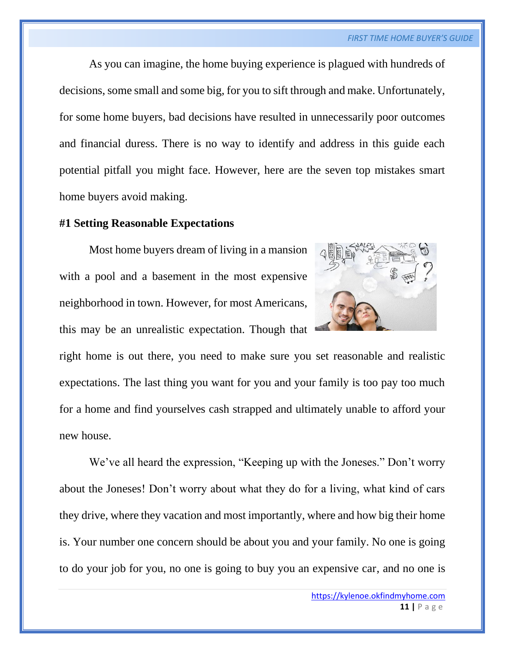As you can imagine, the home buying experience is plagued with hundreds of decisions, some small and some big, for you to sift through and make. Unfortunately, for some home buyers, bad decisions have resulted in unnecessarily poor outcomes and financial duress. There is no way to identify and address in this guide each potential pitfall you might face. However, here are the seven top mistakes smart home buyers avoid making.

#### **#1 Setting Reasonable Expectations**



Most home buyers dream of living in a mansion with a pool and a basement in the most expensive neighborhood in town. However, for most Americans, this may be an unrealistic expectation. Though that

right home is out there, you need to make sure you set reasonable and realistic expectations. The last thing you want for you and your family is too pay too much for a home and find yourselves cash strapped and ultimately unable to afford your new house.

We've all heard the expression, "Keeping up with the Joneses." Don't worry about the Joneses! Don't worry about what they do for a living, what kind of cars they drive, where they vacation and most importantly, where and how big their home is. Your number one concern should be about you and your family. No one is going to do your job for you, no one is going to buy you an expensive car, and no one is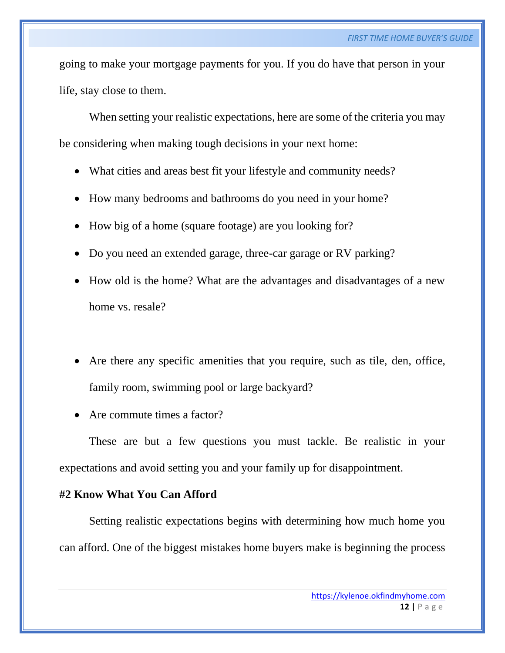going to make your mortgage payments for you. If you do have that person in your life, stay close to them.

When setting your realistic expectations, here are some of the criteria you may be considering when making tough decisions in your next home:

- What cities and areas best fit your lifestyle and community needs?
- How many bedrooms and bathrooms do you need in your home?
- How big of a home (square footage) are you looking for?
- Do you need an extended garage, three-car garage or RV parking?
- How old is the home? What are the advantages and disadvantages of a new home vs. resale?
- Are there any specific amenities that you require, such as tile, den, office, family room, swimming pool or large backyard?
- Are commute times a factor?

These are but a few questions you must tackle. Be realistic in your expectations and avoid setting you and your family up for disappointment.

### **#2 Know What You Can Afford**

Setting realistic expectations begins with determining how much home you can afford. One of the biggest mistakes home buyers make is beginning the process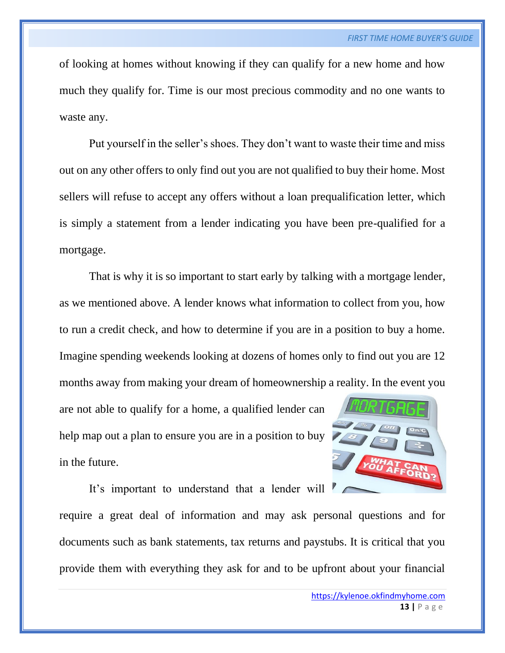of looking at homes without knowing if they can qualify for a new home and how much they qualify for. Time is our most precious commodity and no one wants to waste any.

Put yourself in the seller's shoes. They don't want to waste their time and miss out on any other offers to only find out you are not qualified to buy their home. Most sellers will refuse to accept any offers without a loan prequalification letter, which is simply a statement from a lender indicating you have been pre-qualified for a mortgage.

That is why it is so important to start early by talking with a mortgage lender, as we mentioned above. A lender knows what information to collect from you, how to run a credit check, and how to determine if you are in a position to buy a home. Imagine spending weekends looking at dozens of homes only to find out you are 12 months away from making your dream of homeownership a reality. In the event you

are not able to qualify for a home, a qualified lender can help map out a plan to ensure you are in a position to buy in the future.



It's important to understand that a lender will

require a great deal of information and may ask personal questions and for documents such as bank statements, tax returns and paystubs. It is critical that you provide them with everything they ask for and to be upfront about your financial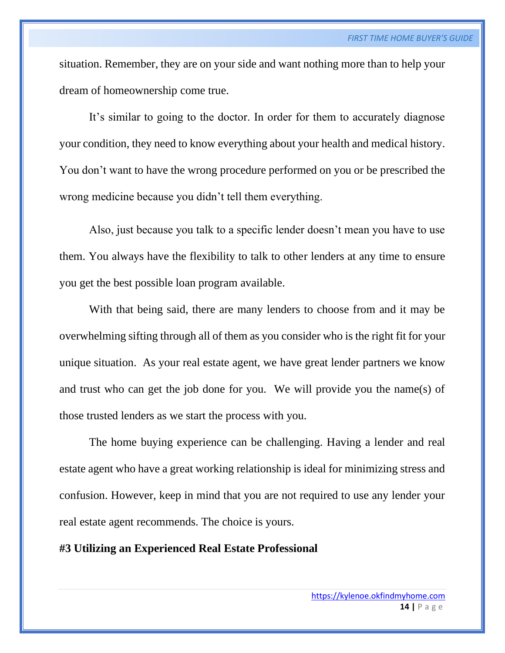situation. Remember, they are on your side and want nothing more than to help your dream of homeownership come true.

It's similar to going to the doctor. In order for them to accurately diagnose your condition, they need to know everything about your health and medical history. You don't want to have the wrong procedure performed on you or be prescribed the wrong medicine because you didn't tell them everything.

Also, just because you talk to a specific lender doesn't mean you have to use them. You always have the flexibility to talk to other lenders at any time to ensure you get the best possible loan program available.

With that being said, there are many lenders to choose from and it may be overwhelming sifting through all of them as you consider who is the right fit for your unique situation. As your real estate agent, we have great lender partners we know and trust who can get the job done for you. We will provide you the name(s) of those trusted lenders as we start the process with you.

The home buying experience can be challenging. Having a lender and real estate agent who have a great working relationship is ideal for minimizing stress and confusion. However, keep in mind that you are not required to use any lender your real estate agent recommends. The choice is yours.

#### **#3 Utilizing an Experienced Real Estate Professional**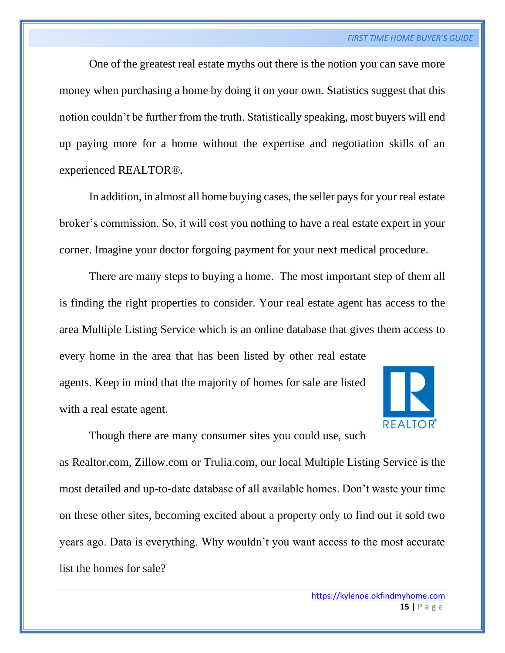One of the greatest real estate myths out there is the notion you can save more money when purchasing a home by doing it on your own. Statistics suggest that this notion couldn't be further from the truth. Statistically speaking, most buyers will end up paying more for a home without the expertise and negotiation skills of an experienced REALTOR®.

In addition, in almost all home buying cases, the seller pays for your real estate broker's commission. So, it will cost you nothing to have a real estate expert in your corner. Imagine your doctor forgoing payment for your next medical procedure.

There are many steps to buying a home. The most important step of them all is finding the right properties to consider. Your real estate agent has access to the area Multiple Listing Service which is an online database that gives them access to every home in the area that has been listed by other real estate

agents. Keep in mind that the majority of homes for sale are listed with a real estate agent.



Though there are many consumer sites you could use, such

as Realtor.com, Zillow.com or Trulia.com, our local Multiple Listing Service is the most detailed and up-to-date database of all available homes. Don't waste your time on these other sites, becoming excited about a property only to find out it sold two years ago. Data is everything. Why wouldn't you want access to the most accurate list the homes for sale?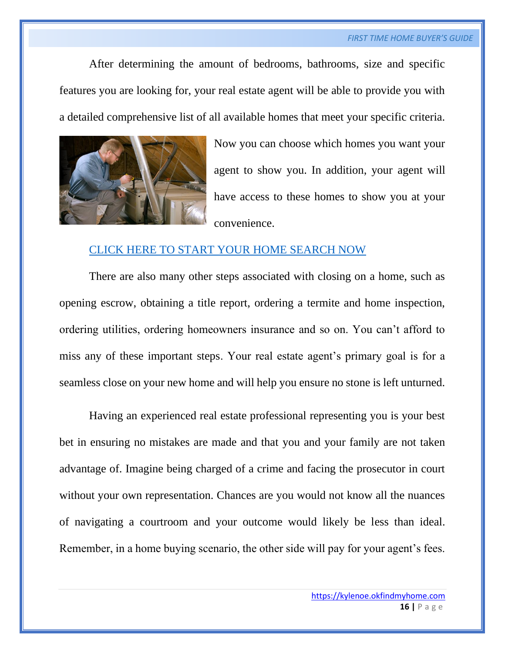#### *FIRST TIME HOME BUYER'S GUIDE*

After determining the amount of bedrooms, bathrooms, size and specific features you are looking for, your real estate agent will be able to provide you with a detailed comprehensive list of all available homes that meet your specific criteria.



Now you can choose which homes you want your agent to show you. In addition, your agent will have access to these homes to show you at your convenience.

### [CLICK HERE TO START YOUR HOME SEARCH NOW](https://kylenoe.okfindmyhome.com/)

There are also many other steps associated with closing on a home, such as opening escrow, obtaining a title report, ordering a termite and home inspection, ordering utilities, ordering homeowners insurance and so on. You can't afford to miss any of these important steps. Your real estate agent's primary goal is for a seamless close on your new home and will help you ensure no stone is left unturned.

Having an experienced real estate professional representing you is your best bet in ensuring no mistakes are made and that you and your family are not taken advantage of. Imagine being charged of a crime and facing the prosecutor in court without your own representation. Chances are you would not know all the nuances of navigating a courtroom and your outcome would likely be less than ideal. Remember, in a home buying scenario, the other side will pay for your agent's fees.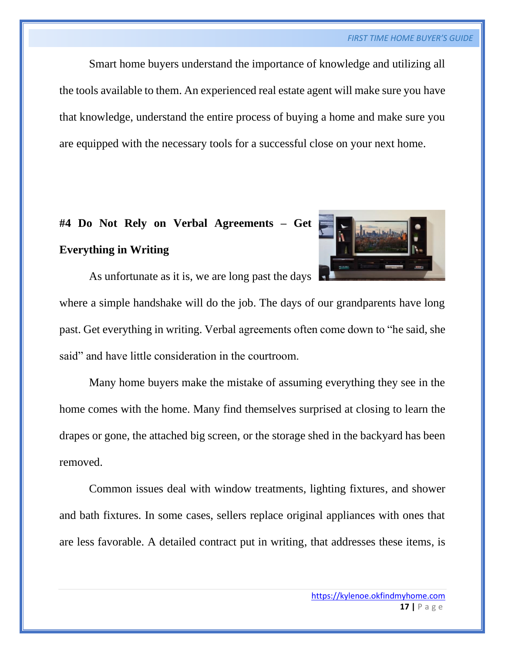Smart home buyers understand the importance of knowledge and utilizing all the tools available to them. An experienced real estate agent will make sure you have that knowledge, understand the entire process of buying a home and make sure you are equipped with the necessary tools for a successful close on your next home.

# **#4 Do Not Rely on Verbal Agreements – Get Everything in Writing**



As unfortunate as it is, we are long past the days

where a simple handshake will do the job. The days of our grandparents have long past. Get everything in writing. Verbal agreements often come down to "he said, she said" and have little consideration in the courtroom.

Many home buyers make the mistake of assuming everything they see in the home comes with the home. Many find themselves surprised at closing to learn the drapes or gone, the attached big screen, or the storage shed in the backyard has been removed.

Common issues deal with window treatments, lighting fixtures, and shower and bath fixtures. In some cases, sellers replace original appliances with ones that are less favorable. A detailed contract put in writing, that addresses these items, is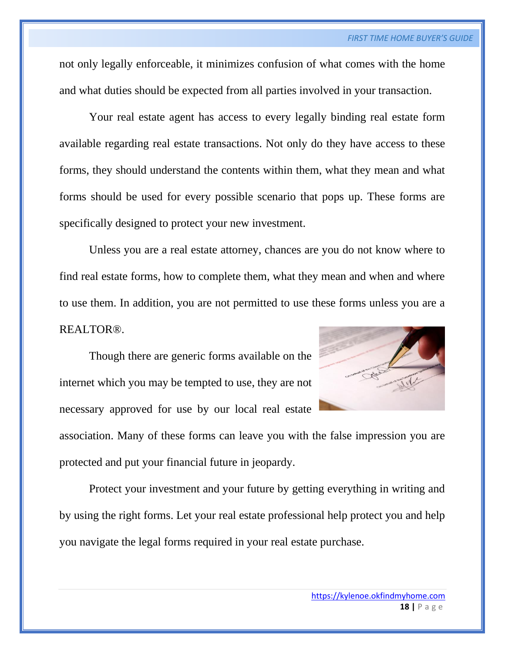not only legally enforceable, it minimizes confusion of what comes with the home and what duties should be expected from all parties involved in your transaction.

Your real estate agent has access to every legally binding real estate form available regarding real estate transactions. Not only do they have access to these forms, they should understand the contents within them, what they mean and what forms should be used for every possible scenario that pops up. These forms are specifically designed to protect your new investment.

Unless you are a real estate attorney, chances are you do not know where to find real estate forms, how to complete them, what they mean and when and where to use them. In addition, you are not permitted to use these forms unless you are a REALTOR®.

Though there are generic forms available on the internet which you may be tempted to use, they are not necessary approved for use by our local real estate



association. Many of these forms can leave you with the false impression you are protected and put your financial future in jeopardy.

Protect your investment and your future by getting everything in writing and by using the right forms. Let your real estate professional help protect you and help you navigate the legal forms required in your real estate purchase.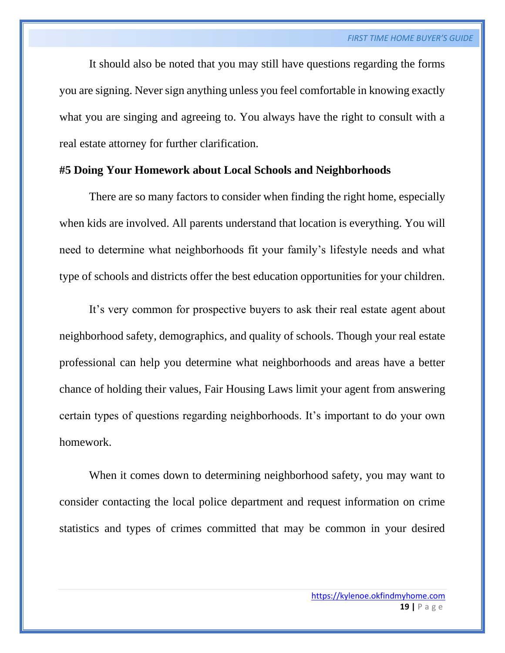It should also be noted that you may still have questions regarding the forms you are signing. Never sign anything unless you feel comfortable in knowing exactly what you are singing and agreeing to. You always have the right to consult with a real estate attorney for further clarification.

# **#5 Doing Your Homework about Local Schools and Neighborhoods**

There are so many factors to consider when finding the right home, especially when kids are involved. All parents understand that location is everything. You will need to determine what neighborhoods fit your family's lifestyle needs and what type of schools and districts offer the best education opportunities for your children.

It's very common for prospective buyers to ask their real estate agent about neighborhood safety, demographics, and quality of schools. Though your real estate professional can help you determine what neighborhoods and areas have a better chance of holding their values, Fair Housing Laws limit your agent from answering certain types of questions regarding neighborhoods. It's important to do your own homework.

When it comes down to determining neighborhood safety, you may want to consider contacting the local police department and request information on crime statistics and types of crimes committed that may be common in your desired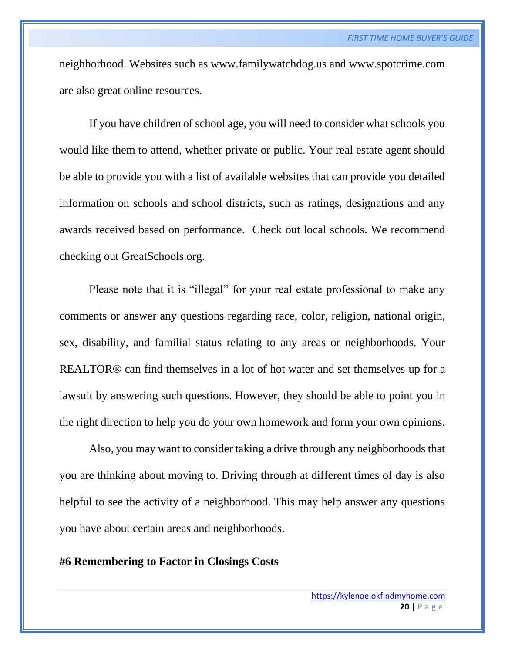neighborhood. Websites such as www.familywatchdog.us and www.spotcrime.com are also great online resources.

If you have children of school age, you will need to consider what schools you would like them to attend, whether private or public. Your real estate agent should be able to provide you with a list of available websites that can provide you detailed information on schools and school districts, such as ratings, designations and any awards received based on performance. Check out local schools. We recommend checking out GreatSchools.org.

Please note that it is "illegal" for your real estate professional to make any comments or answer any questions regarding race, color, religion, national origin, sex, disability, and familial status relating to any areas or neighborhoods. Your REALTOR® can find themselves in a lot of hot water and set themselves up for a lawsuit by answering such questions. However, they should be able to point you in the right direction to help you do your own homework and form your own opinions.

Also, you may want to consider taking a drive through any neighborhoods that you are thinking about moving to. Driving through at different times of day is also helpful to see the activity of a neighborhood. This may help answer any questions you have about certain areas and neighborhoods.

# **#6 Remembering to Factor in Closings Costs**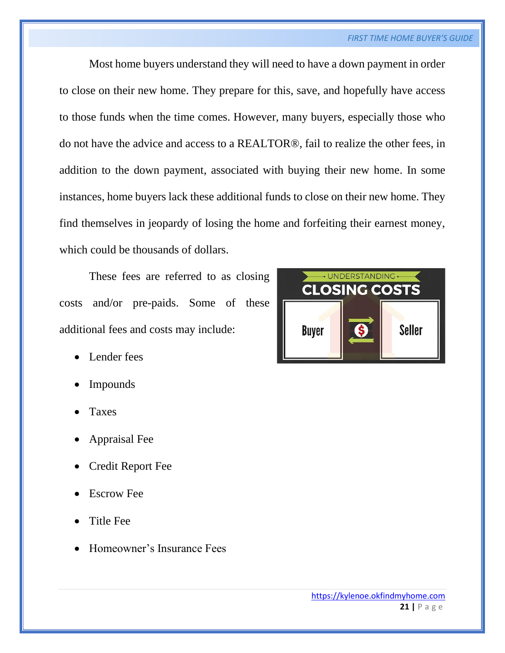#### *FIRST TIME HOME BUYER'S GUIDE*

Most home buyers understand they will need to have a down payment in order to close on their new home. They prepare for this, save, and hopefully have access to those funds when the time comes. However, many buyers, especially those who do not have the advice and access to a REALTOR®, fail to realize the other fees, in addition to the down payment, associated with buying their new home. In some instances, home buyers lack these additional funds to close on their new home. They find themselves in jeopardy of losing the home and forfeiting their earnest money, which could be thousands of dollars.

These fees are referred to as closing costs and/or pre-paids. Some of these additional fees and costs may include:

- Lender fees
- Impounds
- **Taxes**
- Appraisal Fee
- Credit Report Fee
- **Escrow Fee**
- Title Fee
- Homeowner's Insurance Fees

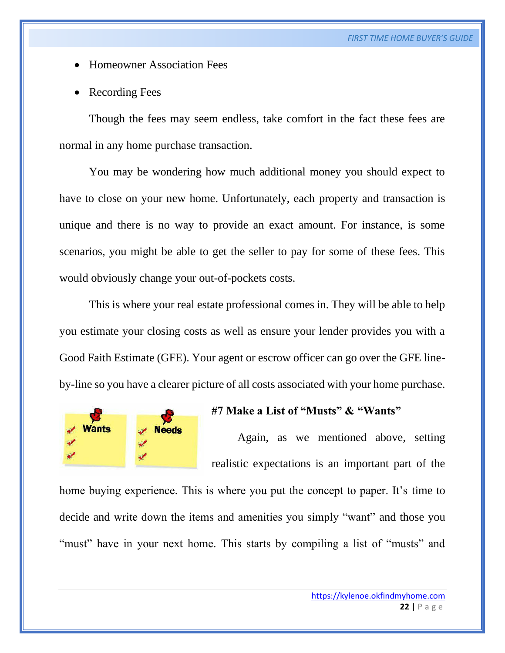- Homeowner Association Fees
- Recording Fees

Though the fees may seem endless, take comfort in the fact these fees are normal in any home purchase transaction.

You may be wondering how much additional money you should expect to have to close on your new home. Unfortunately, each property and transaction is unique and there is no way to provide an exact amount. For instance, is some scenarios, you might be able to get the seller to pay for some of these fees. This would obviously change your out-of-pockets costs.

This is where your real estate professional comes in. They will be able to help you estimate your closing costs as well as ensure your lender provides you with a Good Faith Estimate (GFE). Your agent or escrow officer can go over the GFE lineby-line so you have a clearer picture of all costs associated with your home purchase.



#### **#7 Make a List of "Musts" & "Wants"**

Again, as we mentioned above, setting realistic expectations is an important part of the

home buying experience. This is where you put the concept to paper. It's time to decide and write down the items and amenities you simply "want" and those you "must" have in your next home. This starts by compiling a list of "musts" and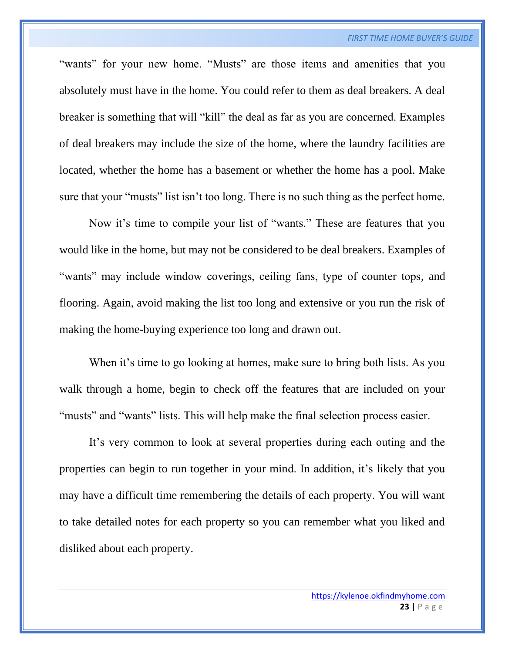"wants" for your new home. "Musts" are those items and amenities that you absolutely must have in the home. You could refer to them as deal breakers. A deal breaker is something that will "kill" the deal as far as you are concerned. Examples of deal breakers may include the size of the home, where the laundry facilities are located, whether the home has a basement or whether the home has a pool. Make sure that your "musts" list isn't too long. There is no such thing as the perfect home.

Now it's time to compile your list of "wants." These are features that you would like in the home, but may not be considered to be deal breakers. Examples of "wants" may include window coverings, ceiling fans, type of counter tops, and flooring. Again, avoid making the list too long and extensive or you run the risk of making the home-buying experience too long and drawn out.

When it's time to go looking at homes, make sure to bring both lists. As you walk through a home, begin to check off the features that are included on your "musts" and "wants" lists. This will help make the final selection process easier.

It's very common to look at several properties during each outing and the properties can begin to run together in your mind. In addition, it's likely that you may have a difficult time remembering the details of each property. You will want to take detailed notes for each property so you can remember what you liked and disliked about each property.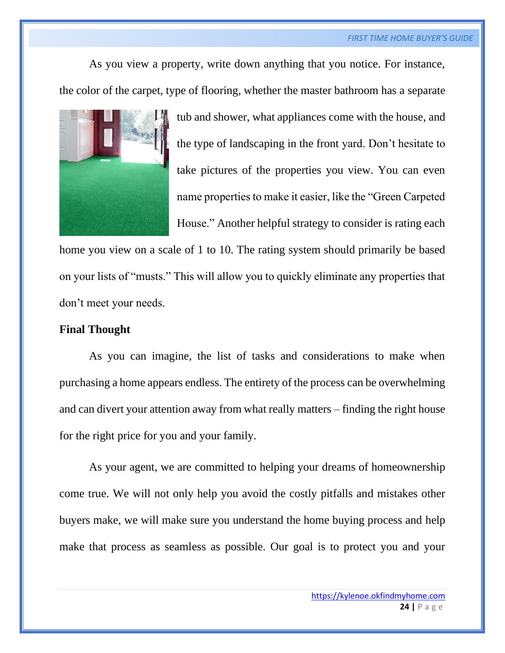As you view a property, write down anything that you notice. For instance, the color of the carpet, type of flooring, whether the master bathroom has a separate



tub and shower, what appliances come with the house, and the type of landscaping in the front yard. Don't hesitate to take pictures of the properties you view. You can even name properties to make it easier, like the "Green Carpeted House." Another helpful strategy to consider is rating each

home you view on a scale of 1 to 10. The rating system should primarily be based on your lists of "musts." This will allow you to quickly eliminate any properties that don't meet your needs.

# **Final Thought**

As you can imagine, the list of tasks and considerations to make when purchasing a home appears endless. The entirety of the process can be overwhelming and can divert your attention away from what really matters – finding the right house for the right price for you and your family.

As your agent, we are committed to helping your dreams of homeownership come true. We will not only help you avoid the costly pitfalls and mistakes other buyers make, we will make sure you understand the home buying process and help make that process as seamless as possible. Our goal is to protect you and your